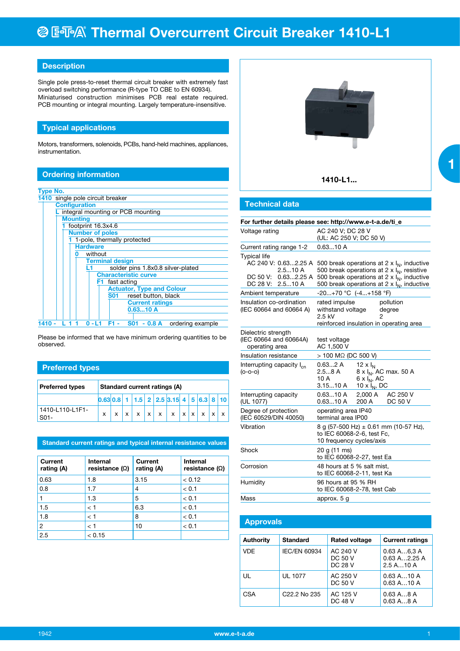# **@ E FA Thermal Overcurrent Circuit Breaker 1410-L1**

## **Description**

Single pole press-to-reset thermal circuit breaker with extremely fast overload switching performance (R-type TO CBE to EN 60934). Miniaturised construction minimises PCB real estate required. PCB mounting or integral mounting. Largely temperature-insensitive.

## **Typical applications**

Motors, transformers, solenoids, PCBs, hand-held machines, appliances, instrumentation.

## **Ordering information**

| Type No.                                   |  |  |  |  |  |  |
|--------------------------------------------|--|--|--|--|--|--|
| single pole circuit breaker<br>1410        |  |  |  |  |  |  |
| <b>Configuration</b>                       |  |  |  |  |  |  |
| integral mounting or PCB mounting          |  |  |  |  |  |  |
| <b>Mounting</b>                            |  |  |  |  |  |  |
| footprint 16.3x4.6                         |  |  |  |  |  |  |
| <b>Number of poles</b>                     |  |  |  |  |  |  |
| 1-pole, thermally protected                |  |  |  |  |  |  |
| <b>Hardware</b>                            |  |  |  |  |  |  |
| without<br>n                               |  |  |  |  |  |  |
| <b>Terminal design</b>                     |  |  |  |  |  |  |
| solder pins 1.8x0.8 silver-plated          |  |  |  |  |  |  |
| <b>Characteristic curve</b>                |  |  |  |  |  |  |
| fast acting                                |  |  |  |  |  |  |
| <b>Actuator, Type and Colour</b>           |  |  |  |  |  |  |
| S01 <b>S</b><br>reset button, black        |  |  |  |  |  |  |
| <b>Current ratings</b>                     |  |  |  |  |  |  |
| 0.6310A                                    |  |  |  |  |  |  |
|                                            |  |  |  |  |  |  |
| $-0.8A$<br>ordering example<br>S01<br>1410 |  |  |  |  |  |  |

Please be informed that we have minimum ordering quantities to be observed.

| <b>Preferred types</b>             |                                     |  |  |  |  |  |                                            |  |  |  |
|------------------------------------|-------------------------------------|--|--|--|--|--|--------------------------------------------|--|--|--|
| <b>Preferred types</b>             | <b>Standard current ratings (A)</b> |  |  |  |  |  |                                            |  |  |  |
|                                    |                                     |  |  |  |  |  | $ 0.63 0.8 1 1.5 2 2.5 3.15 4 5 6.3 8 10 $ |  |  |  |
| 1410-L110-L1F1-<br>S <sub>01</sub> | x                                   |  |  |  |  |  | $x  x   x   x   x   x   x   x   x   x   x$ |  |  |  |

**Standard current ratings and typical internal resistance values**

| Current<br>rating (A) | <b>Internal</b><br>resistance $(\Omega)$ | <b>Current</b><br>rating (A) | Internal<br>resistance $(\Omega)$ |
|-----------------------|------------------------------------------|------------------------------|-----------------------------------|
| 0.63                  | 1.8                                      | 3.15                         | < 0.12                            |
| 0.8                   | 1.7                                      | 4                            | < 0.1                             |
|                       | 1.3                                      | 5                            | < 0.1                             |
| 1.5                   | < 1                                      | 6.3                          | < 0.1                             |
| 1.8                   | < 1                                      | 8                            | < 0.1                             |
| 2                     | < 1                                      | 10                           | < 0.1                             |
| 2.5                   | < 0.15                                   |                              |                                   |



#### **Technical data**

| For further details please see: http://www.e-t-a.de/ti_e                                           |                                                                                                                                                                                                           |  |  |  |  |
|----------------------------------------------------------------------------------------------------|-----------------------------------------------------------------------------------------------------------------------------------------------------------------------------------------------------------|--|--|--|--|
| Voltage rating                                                                                     | AC 240 V; DC 28 V<br>(UL: AC 250 V; DC 50 V)                                                                                                                                                              |  |  |  |  |
| Current rating range 1-2                                                                           | 0.6310A                                                                                                                                                                                                   |  |  |  |  |
| <b>Typical life</b><br>AC 240 V: 0.632.25 A<br>2.510A<br>0.632.25A<br>DC 50 V:<br>DC 28 V: 2.510 A | 500 break operations at 2 x $I_N$ , inductive<br>500 break operations at 2 $\times$ $I_N$ , resistive<br>500 break operations at 2 x $I_{N}$ , inductive<br>500 break operations at 2 x $I_N$ , inductive |  |  |  |  |
| Ambient temperature                                                                                | $-20+70$ °C $(-4+158$ °F)                                                                                                                                                                                 |  |  |  |  |
| Insulation co-ordination<br>(IEC 60664 and 60664 A)                                                | rated impulse<br>pollution<br>withstand voltage<br>degree<br>2.5 kV<br>2<br>reinforced insulation in operating area                                                                                       |  |  |  |  |
| Dielectric strength<br>(IEC 60664 and 60664A)<br>operating area                                    | test voltage<br>AC 1,500 V                                                                                                                                                                                |  |  |  |  |
| Insulation resistance                                                                              | > 100 MΩ (DC 500 V)                                                                                                                                                                                       |  |  |  |  |
| Interrupting capacity I <sub>cn</sub><br>$(0 - 0 - 0)$                                             | 0.632A<br>12 $\times$ $I_N$<br>2.58A<br>8 x I <sub>N</sub> , AC max. 50 A<br>10A<br>$6 \times I_N$ , AC<br>3.1510 A<br>10 x $I_N$ , DC                                                                    |  |  |  |  |
| Interrupting capacity<br>(UL 1077)                                                                 | 0.6310A<br>AC 250 V<br>2.000 A<br><b>DC 50 V</b><br>0.6310A<br>200 A                                                                                                                                      |  |  |  |  |
| Degree of protection<br>(IEC 60529/DIN 40050)                                                      | operating area IP40<br>terminal area IP00                                                                                                                                                                 |  |  |  |  |
| Vibration                                                                                          | 8 g (57-500 Hz) $\pm$ 0.61 mm (10-57 Hz),<br>to IEC 60068-2-6, test Fc,<br>10 frequency cycles/axis                                                                                                       |  |  |  |  |
| Shock                                                                                              | 20 g (11 ms)<br>to IEC 60068-2-27, test Ea                                                                                                                                                                |  |  |  |  |
| Corrosion                                                                                          | 48 hours at 5 % salt mist,<br>to IEC 60068-2-11, test Ka                                                                                                                                                  |  |  |  |  |
| Humidity                                                                                           | 96 hours at 95 % RH<br>to IEC 60068-2-78, test Cab                                                                                                                                                        |  |  |  |  |
| Mass                                                                                               | approx. 5 g                                                                                                                                                                                               |  |  |  |  |

## **Approvals**

| <b>Authority</b> | <b>Standard</b>          | <b>Rated voltage</b>                         | <b>Current ratings</b>                 |
|------------------|--------------------------|----------------------------------------------|----------------------------------------|
| <b>VDE</b>       | <b>IEC/EN 60934</b>      | AC 240 V<br><b>DC 50 V</b><br><b>DC 28 V</b> | 0.63 A6.3 A<br>0.63 A2.25 A<br>2.5A10A |
| UL               | <b>UL 1077</b>           | AC 250 V<br>DC 50 V                          | 0.63 A 10 A<br>0.63 A10 A              |
| CSA              | C <sub>22.2</sub> No 235 | AC 125 V<br><b>DC 48 V</b>                   | 0.63 A 8 A<br>0.63 A 8 A               |